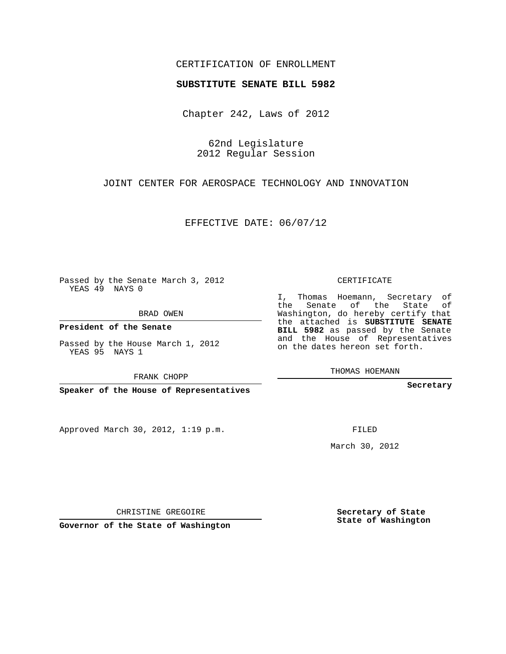# CERTIFICATION OF ENROLLMENT

#### **SUBSTITUTE SENATE BILL 5982**

Chapter 242, Laws of 2012

62nd Legislature 2012 Regular Session

JOINT CENTER FOR AEROSPACE TECHNOLOGY AND INNOVATION

EFFECTIVE DATE: 06/07/12

**Contract Contract** 

Passed by the Senate March 3, 2012 YEAS 49 NAYS 0

BRAD OWEN

**President of the Senate**

Passed by the House March 1, 2012 YEAS 95 NAYS 1

FRANK CHOPP

**Speaker of the House of Representatives**

Approved March 30, 2012, 1:19 p.m.

CERTIFICATE

I, Thomas Hoemann, Secretary of the Senate of the State of Washington, do hereby certify that the attached is **SUBSTITUTE SENATE BILL 5982** as passed by the Senate and the House of Representatives on the dates hereon set forth.

THOMAS HOEMANN

**Secretary**

FILED

March 30, 2012

**Secretary of State State of Washington**

CHRISTINE GREGOIRE

**Governor of the State of Washington**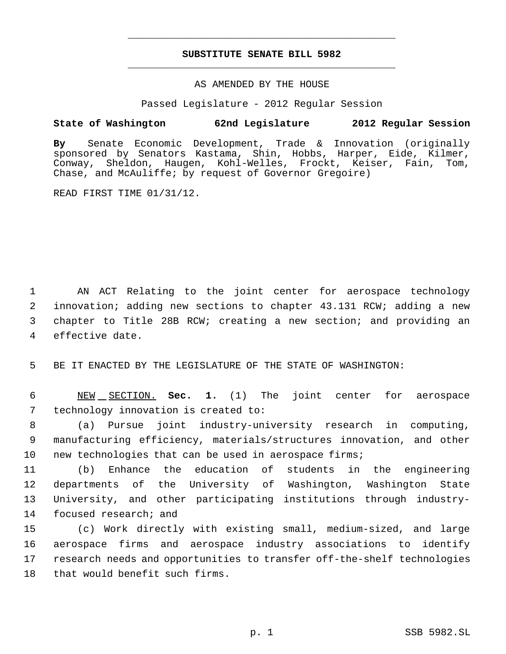# **SUBSTITUTE SENATE BILL 5982** \_\_\_\_\_\_\_\_\_\_\_\_\_\_\_\_\_\_\_\_\_\_\_\_\_\_\_\_\_\_\_\_\_\_\_\_\_\_\_\_\_\_\_\_\_

\_\_\_\_\_\_\_\_\_\_\_\_\_\_\_\_\_\_\_\_\_\_\_\_\_\_\_\_\_\_\_\_\_\_\_\_\_\_\_\_\_\_\_\_\_

### AS AMENDED BY THE HOUSE

Passed Legislature - 2012 Regular Session

# **State of Washington 62nd Legislature 2012 Regular Session**

**By** Senate Economic Development, Trade & Innovation (originally sponsored by Senators Kastama, Shin, Hobbs, Harper, Eide, Kilmer, Conway, Sheldon, Haugen, Kohl-Welles, Frockt, Keiser, Fain, Tom, Chase, and McAuliffe; by request of Governor Gregoire)

READ FIRST TIME 01/31/12.

 AN ACT Relating to the joint center for aerospace technology innovation; adding new sections to chapter 43.131 RCW; adding a new chapter to Title 28B RCW; creating a new section; and providing an effective date.

5 BE IT ENACTED BY THE LEGISLATURE OF THE STATE OF WASHINGTON:

 6 NEW SECTION. **Sec. 1.** (1) The joint center for aerospace 7 technology innovation is created to:

 8 (a) Pursue joint industry-university research in computing, 9 manufacturing efficiency, materials/structures innovation, and other 10 new technologies that can be used in aerospace firms;

 (b) Enhance the education of students in the engineering departments of the University of Washington, Washington State University, and other participating institutions through industry-14 focused research; and

 (c) Work directly with existing small, medium-sized, and large aerospace firms and aerospace industry associations to identify research needs and opportunities to transfer off-the-shelf technologies that would benefit such firms.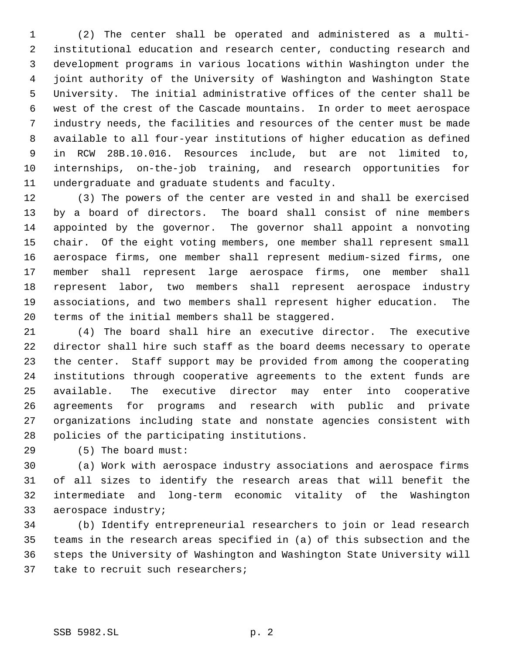(2) The center shall be operated and administered as a multi- institutional education and research center, conducting research and development programs in various locations within Washington under the joint authority of the University of Washington and Washington State University. The initial administrative offices of the center shall be west of the crest of the Cascade mountains. In order to meet aerospace industry needs, the facilities and resources of the center must be made available to all four-year institutions of higher education as defined in RCW 28B.10.016. Resources include, but are not limited to, internships, on-the-job training, and research opportunities for undergraduate and graduate students and faculty.

 (3) The powers of the center are vested in and shall be exercised by a board of directors. The board shall consist of nine members appointed by the governor. The governor shall appoint a nonvoting chair. Of the eight voting members, one member shall represent small aerospace firms, one member shall represent medium-sized firms, one member shall represent large aerospace firms, one member shall represent labor, two members shall represent aerospace industry associations, and two members shall represent higher education. The terms of the initial members shall be staggered.

 (4) The board shall hire an executive director. The executive director shall hire such staff as the board deems necessary to operate the center. Staff support may be provided from among the cooperating institutions through cooperative agreements to the extent funds are available. The executive director may enter into cooperative agreements for programs and research with public and private organizations including state and nonstate agencies consistent with policies of the participating institutions.

(5) The board must:

 (a) Work with aerospace industry associations and aerospace firms of all sizes to identify the research areas that will benefit the intermediate and long-term economic vitality of the Washington aerospace industry;

 (b) Identify entrepreneurial researchers to join or lead research teams in the research areas specified in (a) of this subsection and the steps the University of Washington and Washington State University will 37 take to recruit such researchers;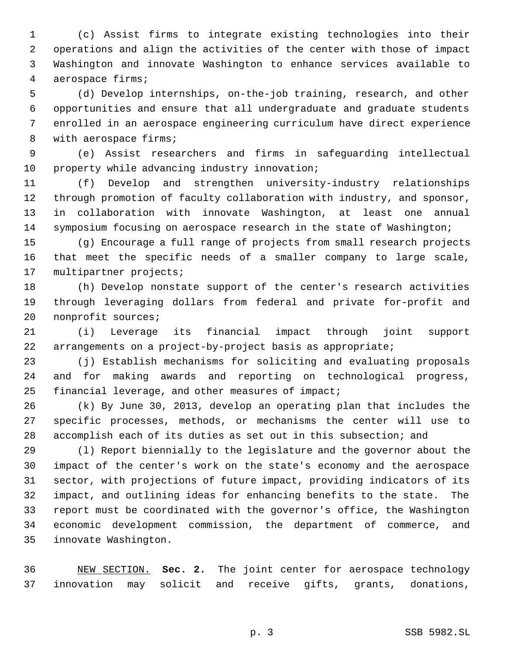(c) Assist firms to integrate existing technologies into their operations and align the activities of the center with those of impact Washington and innovate Washington to enhance services available to aerospace firms;

 (d) Develop internships, on-the-job training, research, and other opportunities and ensure that all undergraduate and graduate students enrolled in an aerospace engineering curriculum have direct experience 8 with aerospace firms;

 (e) Assist researchers and firms in safeguarding intellectual 10 property while advancing industry innovation;

 (f) Develop and strengthen university-industry relationships through promotion of faculty collaboration with industry, and sponsor, in collaboration with innovate Washington, at least one annual symposium focusing on aerospace research in the state of Washington;

 (g) Encourage a full range of projects from small research projects that meet the specific needs of a smaller company to large scale, multipartner projects;

 (h) Develop nonstate support of the center's research activities through leveraging dollars from federal and private for-profit and nonprofit sources;

 (i) Leverage its financial impact through joint support arrangements on a project-by-project basis as appropriate;

 (j) Establish mechanisms for soliciting and evaluating proposals and for making awards and reporting on technological progress, financial leverage, and other measures of impact;

 (k) By June 30, 2013, develop an operating plan that includes the specific processes, methods, or mechanisms the center will use to accomplish each of its duties as set out in this subsection; and

 (l) Report biennially to the legislature and the governor about the impact of the center's work on the state's economy and the aerospace sector, with projections of future impact, providing indicators of its impact, and outlining ideas for enhancing benefits to the state. The report must be coordinated with the governor's office, the Washington economic development commission, the department of commerce, and innovate Washington.

 NEW SECTION. **Sec. 2.** The joint center for aerospace technology innovation may solicit and receive gifts, grants, donations,